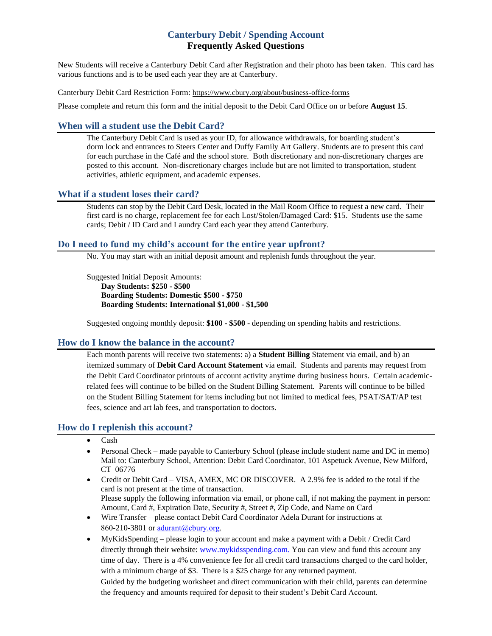# **Canterbury Debit / Spending Account Frequently Asked Questions**

New Students will receive a Canterbury Debit Card after Registration and their photo has been taken. This card has various functions and is to be used each year they are at Canterbury.

Canterbury Debit Card Restriction Form: <https://www.cbury.org/about/business-office-forms>

Please complete and return this form and the initial deposit to the Debit Card Office on or before **August 15**.

# **When will a student use the Debit Card?**

The Canterbury Debit Card is used as your ID, for allowance withdrawals, for boarding student's dorm lock and entrances to Steers Center and Duffy Family Art Gallery. Students are to present this card for each purchase in the Café and the school store. Both discretionary and non-discretionary charges are posted to this account. Non-discretionary charges include but are not limited to transportation, student activities, athletic equipment, and academic expenses.

# **What if a student loses their card?**

Students can stop by the Debit Card Desk, located in the Mail Room Office to request a new card. Their first card is no charge, replacement fee for each Lost/Stolen/Damaged Card: \$15. Students use the same cards; Debit / ID Card and Laundry Card each year they attend Canterbury.

# **Do I need to fund my child's account for the entire year upfront?**

No. You may start with an initial deposit amount and replenish funds throughout the year.

Suggested Initial Deposit Amounts: **Day Students: \$250 - \$500 Boarding Students: Domestic \$500 - \$750 Boarding Students: International \$1,000 - \$1,500** 

Suggested ongoing monthly deposit: **\$100 - \$500** - depending on spending habits and restrictions.

#### **How do I know the balance in the account?**

Each month parents will receive two statements: a) a **Student Billing** Statement via email, and b) an itemized summary of **Debit Card Account Statement** via email. Students and parents may request from the Debit Card Coordinator printouts of account activity anytime during business hours. Certain academicrelated fees will continue to be billed on the Student Billing Statement. Parents will continue to be billed on the Student Billing Statement for items including but not limited to medical fees, PSAT/SAT/AP test fees, science and art lab fees, and transportation to doctors.

### **How do I replenish this account?**

- Cash
- Personal Check made payable to Canterbury School (please include student name and DC in memo) Mail to: Canterbury School, Attention: Debit Card Coordinator, 101 Aspetuck Avenue, New Milford, CT 06776
- Credit or Debit Card VISA, AMEX, MC OR DISCOVER. A 2.9% fee is added to the total if the card is not present at the time of transaction. Please supply the following information via email, or phone call, if not making the payment in person: Amount, Card #, Expiration Date, Security #, Street #, Zip Code, and Name on Card
- Wire Transfer please contact Debit Card Coordinator Adela Durant for instructions at 860-210-3801 or [adurant@cbury.org.](mailto:adurant@cbury.org)
- MyKidsSpending please login to your account and make a payment with a Debit / Credit Card directly through their website: [www.mykidsspending.com.](http://www.mykidsspending.com/) You can view and fund this account any time of day. There is a 4% convenience fee for all credit card transactions charged to the card holder, with a minimum charge of \$3. There is a \$25 charge for any returned payment. Guided by the budgeting worksheet and direct communication with their child, parents can determine the frequency and amounts required for deposit to their student's Debit Card Account.